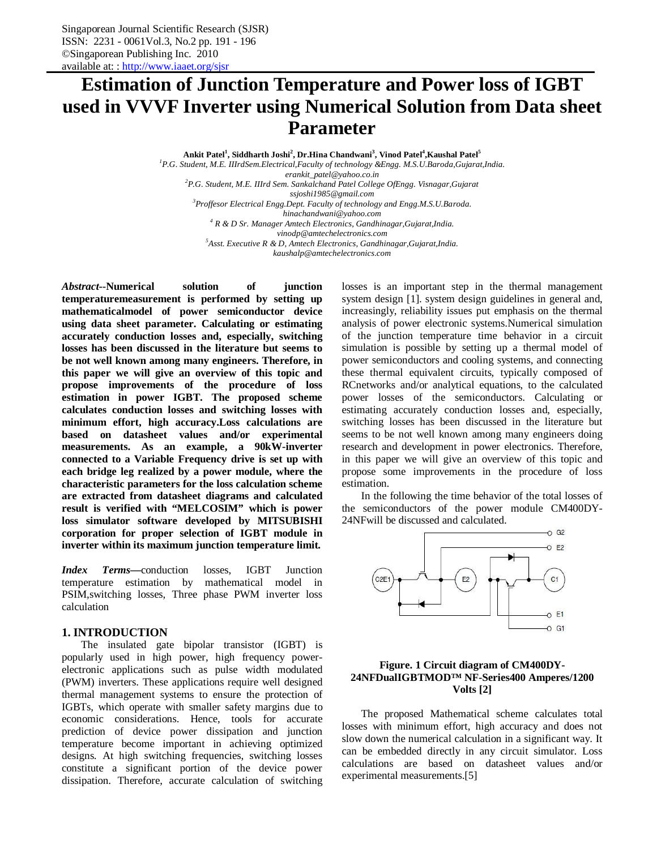# **Estimation of Junction Temperature and Power loss of IGBT used in VVVF Inverter using Numerical Solution from Data sheet Parameter**

**Ankit Patel<sup>1</sup> , Siddharth Joshi<sup>2</sup> , Dr.Hina Chandwani<sup>3</sup> , Vinod Patel<sup>4</sup> ,Kaushal Patel<sup>5</sup>** *<sup>1</sup>P.G. Student, M.E. IIIrdSem.Electrical,Faculty of technology &Engg. M.S.U.Baroda,Gujarat,India.*

*erankit\_patel@yahoo.co.in*

*<sup>2</sup>P.G. Student, M.E. IIIrd Sem. Sankalchand Patel College OfEngg. Visnagar,Gujarat*

*ssjoshi1985@gmail.com*

*<sup>3</sup>Proffesor Electrical Engg.Dept. Faculty of technology and Engg.M.S.U.Baroda.*

*hinachandwani@yahoo.com*

*<sup>4</sup> R & D Sr. Manager Amtech Electronics, Gandhinagar,Gujarat,India. vinodp@amtechelectronics.com*

*<sup>5</sup>Asst. Executive R & D, Amtech Electronics, Gandhinagar,Gujarat,India.*

*kaushalp@amtechelectronics.com*

*Abstract***--Numerical solution of junction temperaturemeasurement is performed by setting up mathematicalmodel of power semiconductor device using data sheet parameter. Calculating or estimating accurately conduction losses and, especially, switching losses has been discussed in the literature but seems to be not well known among many engineers. Therefore, in this paper we will give an overview of this topic and propose improvements of the procedure of loss estimation in power IGBT. The proposed scheme calculates conduction losses and switching losses with minimum effort, high accuracy.Loss calculations are based on datasheet values and/or experimental measurements. As an example, a 90kW-inverter connected to a Variable Frequency drive is set up with each bridge leg realized by a power module, where the characteristic parameters for the loss calculation scheme are extracted from datasheet diagrams and calculated result is verified with "MELCOSIM" which is power loss simulator software developed by MITSUBISHI corporation for proper selection of IGBT module in inverter within its maximum junction temperature limit.**

*Index Terms***—**conduction losses, IGBT Junction temperature estimation by mathematical model in PSIM,switching losses, Three phase PWM inverter loss calculation

## **1. INTRODUCTION**

The insulated gate bipolar transistor (IGBT) is popularly used in high power, high frequency powerelectronic applications such as pulse width modulated (PWM) inverters. These applications require well designed thermal management systems to ensure the protection of IGBTs, which operate with smaller safety margins due to economic considerations. Hence, tools for accurate prediction of device power dissipation and junction temperature become important in achieving optimized designs. At high switching frequencies, switching losses constitute a significant portion of the device power dissipation. Therefore, accurate calculation of switching losses is an important step in the thermal management system design [1]. system design guidelines in general and, increasingly, reliability issues put emphasis on the thermal analysis of power electronic systems.Numerical simulation of the junction temperature time behavior in a circuit simulation is possible by setting up a thermal model of power semiconductors and cooling systems, and connecting these thermal equivalent circuits, typically composed of RCnetworks and/or analytical equations, to the calculated power losses of the semiconductors. Calculating or estimating accurately conduction losses and, especially, switching losses has been discussed in the literature but seems to be not well known among many engineers doing research and development in power electronics. Therefore, in this paper we will give an overview of this topic and propose some improvements in the procedure of loss estimation.

In the following the time behavior of the total losses of the semiconductors of the power module CM400DY-24NFwill be discussed and calculated.



## **Figure. 1 Circuit diagram of CM400DY-24NFDualIGBTMOD™ NF-Series400 Amperes/1200 Volts [2]**

The proposed Mathematical scheme calculates total losses with minimum effort, high accuracy and does not slow down the numerical calculation in a significant way. It can be embedded directly in any circuit simulator. Loss calculations are based on datasheet values and/or experimental measurements.[5]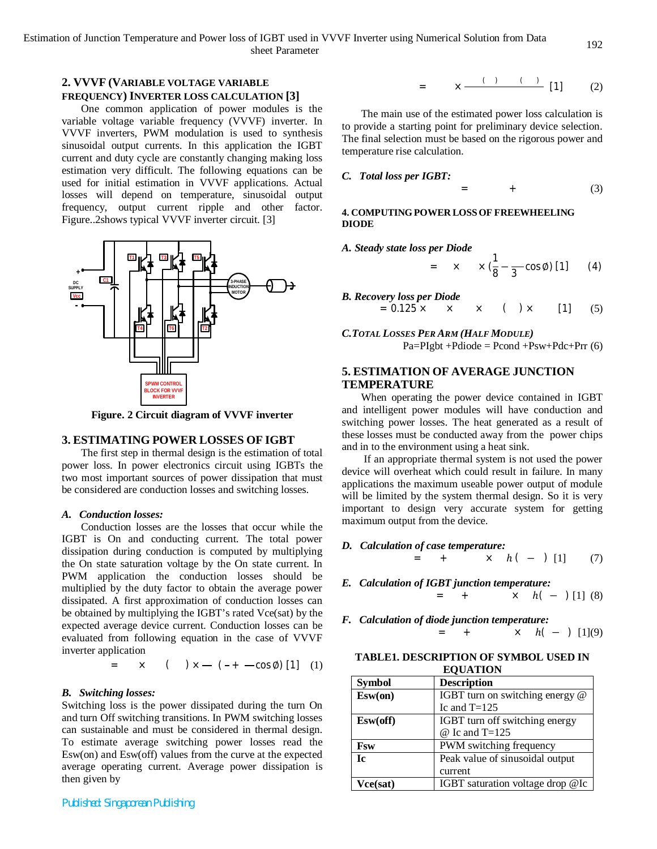## **2. VVVF (VARIABLE VOLTAGE VARIABLE FREQUENCY) INVERTER LOSS CALCULATION [3]**

One common application of power modules is the variable voltage variable frequency (VVVF) inverter. In VVVF inverters, PWM modulation is used to synthesis sinusoidal output currents. In this application the IGBT current and duty cycle are constantly changing making loss estimation very difficult. The following equations can be used for initial estimation in VVVF applications. Actual losses will depend on temperature, sinusoidal output frequency, output current ripple and other factor. Figure..2shows typical VVVF inverter circuit. [3]



**Figure. 2 Circuit diagram of VVVF inverter**

#### **3. ESTIMATING POWER LOSSES OF IGBT**

The first step in thermal design is the estimation of total power loss. In power electronics circuit using IGBTs the two most important sources of power dissipation that must be considered are conduction losses and switching losses.

#### *A. Conduction losses:*

Conduction losses are the losses that occur while the IGBT is On and conducting current. The total power dissipation during conduction is computed by multiplying the On state saturation voltage by the On state current. In PWM application the conduction losses should be multiplied by the duty factor to obtain the average power dissipated. A first approximation of conduction losses can be obtained by multiplying the IGBT's rated Vce(sat) by the expected average device current. Conduction losses can be evaluated from following equation in the case of VVVF inverter application

$$
= \times \qquad (\qquad ) \times \qquad (- + -\cos \emptyset) [1] \quad (1)
$$

#### *B. Switching losses:*

Switching loss is the power dissipated during the turn On and turn Off switching transitions. In PWM switching losses can sustainable and must be considered in thermal design. To estimate average switching power losses read the Esw(on) and Esw(off) values from the curve at the expected average operating current. Average power dissipation is then given by

*Published: Singaporean Publishing*

$$
= \qquad \times \xrightarrow{\qquad \qquad (+ \qquad \qquad (- \qquad -1 \qquad \qquad (1) \qquad \qquad (2)
$$

The main use of the estimated power loss calculation is to provide a starting point for preliminary device selection. The final selection must be based on the rigorous power and temperature rise calculation.

*C. Total loss per IGBT:*

 $=$  + (3)

## **4. COMPUTING POWER LOSSOF FREEWHEELING DIODE**

*A. Steady state loss per Diode*

= 
$$
\times
$$
  $\times$  ( $\frac{1}{8}$  -  $\frac{1}{3}$  cos  $\emptyset$ ) [1] (4)

B. Recovery loss per Diode  
= 
$$
0.125 \times \times \times \times \times
$$
 ( ) x [1] (5)

*C.TOTAL LOSSES PER ARM (HALF MODULE)*  $Pa=PIgbt +Pdiode = Pcond +Psw +Pdc +Prr(6)$ 

# **5. ESTIMATION OF AVERAGE JUNCTION TEMPERATURE**

When operating the power device contained in IGBT and intelligent power modules will have conduction and switching power losses. The heat generated as a result of these losses must be conducted away from the power chips and in to the environment using a heat sink.

If an appropriate thermal system is not used the power device will overheat which could result in failure. In many applications the maximum useable power output of module will be limited by the system thermal design. So it is very important to design very accurate system for getting maximum output from the device.

- *D. Calculation of case temperature:*  $= + \times h(-)$  [1] (7)
- *E. Calculation of IGBT junction temperature:*  $= + \times h(-)$  [1] (8)
- *F. Calculation of diode junction temperature:*  $= + \times h(-)$  [1](9)

**TABLE1. DESCRIPTION OF SYMBOL USED IN EQUATION**

| <b>Symbol</b> | <b>Description</b>               |
|---------------|----------------------------------|
| Esw(0n)       | IGBT turn on switching energy @  |
|               | Ic and $T=125$                   |
| Esw(off)      | IGBT turn off switching energy   |
|               | $@$ Ic and T=125                 |
| Fsw           | PWM switching frequency          |
| Ic.           | Peak value of sinusoidal output  |
|               | current                          |
| Vce(sat)      | IGBT saturation voltage drop @Ic |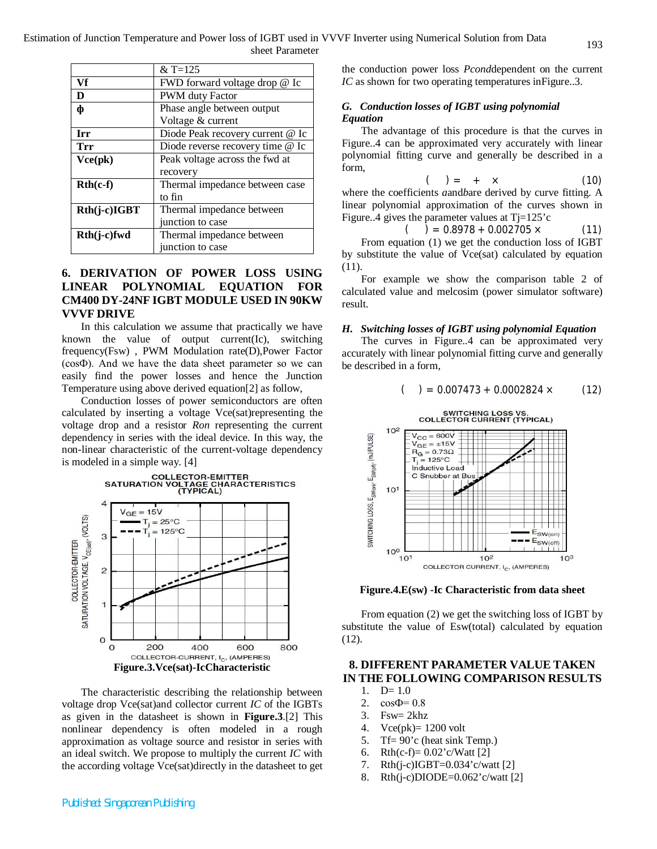|                | $&\,\mathrm{T} = 125$            |  |
|----------------|----------------------------------|--|
| Vf             | FWD forward voltage drop @ Ic    |  |
| D              | PWM duty Factor                  |  |
| ф              | Phase angle between output       |  |
|                | Voltage & current                |  |
| <b>Irr</b>     | Diode Peak recovery current @ Ic |  |
| Trr            | Diode reverse recovery time @ Ic |  |
| Vce(pk)        | Peak voltage across the fwd at   |  |
|                | recovery                         |  |
| $Rth(c-f)$     | Thermal impedance between case   |  |
|                | to fin                           |  |
| $Rth(i-c)IGBT$ | Thermal impedance between        |  |
|                | junction to case                 |  |
| Rth(j-c)fwd    | Thermal impedance between        |  |
|                | junction to case                 |  |

# **6. DERIVATION OF POWER LOSS USING LINEAR POLYNOMIAL EQUATION FOR CM400 DY-24NF IGBT MODULE USED IN 90KW VVVF DRIVE**

In this calculation we assume that practically we have known the value of output current(Ic), switching frequency(Fsw) , PWM Modulation rate(D),Power Factor (cosФ). And we have the data sheet parameter so we can easily find the power losses and hence the Junction Temperature using above derived equation[2] as follow,

Conduction losses of power semiconductors are often calculated by inserting a voltage Vce(sat)representing the voltage drop and a resistor *Ron* representing the current dependency in series with the ideal device. In this way, the non-linear characteristic of the current-voltage dependency is modeled in a simple way. [4]



The characteristic describing the relationship between voltage drop Vce(sat)and collector current *IC* of the IGBTs as given in the datasheet is shown in **Figure.3**.[2] This nonlinear dependency is often modeled in a rough approximation as voltage source and resistor in series with an ideal switch. We propose to multiply the current *IC* with the according voltage Vce(sat)directly in the datasheet to get the conduction power loss *Pcond*dependent on the current *IC* as shown for two operating temperatures in Figure..3.

## *G. Conduction losses of IGBT using polynomial Equation*

The advantage of this procedure is that the curves in Figure..4 can be approximated very accurately with linear polynomial fitting curve and generally be described in a form,

$$
(\qquad) = + \times \qquad (10)
$$

where the coefficients *a*and*b*are derived by curve fitting. A linear polynomial approximation of the curves shown in Figure..4 gives the parameter values at  $Tj=125$ 'c

$$
( ) = 0.8978 + 0.002705 \times \tag{11}
$$

From equation (1) we get the conduction loss of IGBT by substitute the value of Vce(sat) calculated by equation (11).

For example we show the comparison table 2 of calculated value and melcosim (power simulator software) result.

#### *H. Switching losses of IGBT using polynomial Equation*

The curves in Figure..4 can be approximated very accurately with linear polynomial fitting curve and generally be described in a form,

 $( ) = 0.007473 + 0.0002824 \times (12)$ 



**Figure.4.E(sw) -Ic Characteristic from data sheet**

From equation (2) we get the switching loss of IGBT by substitute the value of Esw(total) calculated by equation (12).

# **8. DIFFERENT PARAMETER VALUE TAKEN IN THE FOLLOWING COMPARISON RESULTS**

- 1.  $D=1.0$
- 2.  $\cos \Phi = 0.8$
- 3. Fsw=  $2khz$
- 4. Vce(pk)= 1200 volt
- 5. Tf= 90'c (heat sink Temp.)
- 6. Rth(c-f)=  $0.02$ 'c/Watt [2]
- 7. Rth(j-c)IGBT=0.034'c/watt [2]
- 8. Rth(j-c)DIODE=0.062'c/watt [2]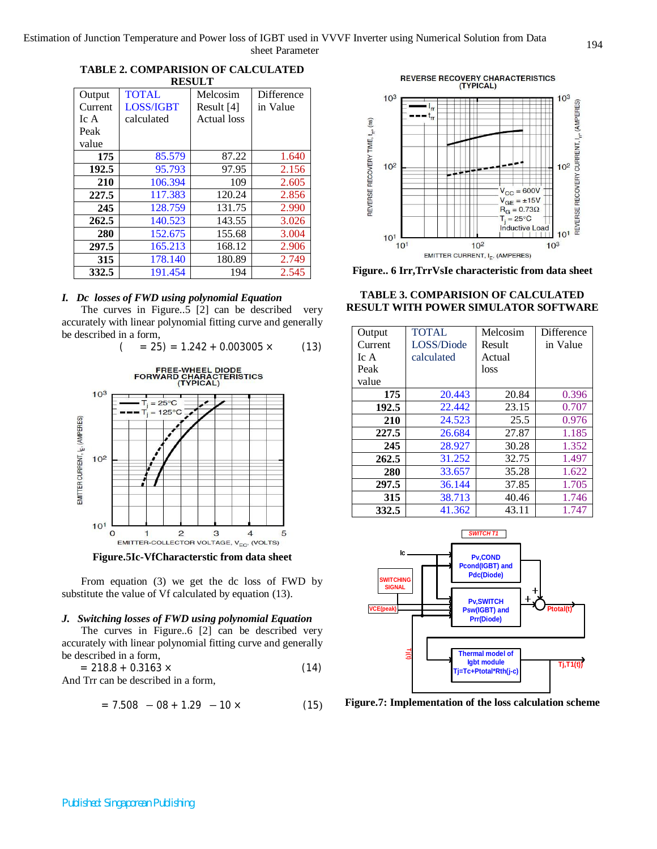**TABLE 2. COMPARISION OF CALCULATED RESULT**

|         |                  | .           |            |
|---------|------------------|-------------|------------|
| Output  | <b>TOTAL</b>     | Melcosim    | Difference |
| Current | <b>LOSS/IGBT</b> | Result [4]  | in Value   |
| IcA     | calculated       | Actual loss |            |
| Peak    |                  |             |            |
| value   |                  |             |            |
| 175     | 85.579           | 87.22       | 1.640      |
| 192.5   | 95.793           | 97.95       | 2.156      |
| 210     | 106.394          | 109         | 2.605      |
| 227.5   | 117.383          | 120.24      | 2.856      |
| 245     | 128.759          | 131.75      | 2.990      |
| 262.5   | 140.523          | 143.55      | 3.026      |
| 280     | 152.675          | 155.68      | 3.004      |
| 297.5   | 165.213          | 168.12      | 2.906      |
| 315     | 178.140          | 180.89      | 2.749      |
| 332.5   | 191.454          | 194         | 2.545      |

## *I. Dc losses of FWD using polynomial Equation*

The curves in Figure..5 [2] can be described very accurately with linear polynomial fitting curve and generally be described in a form,



**Figure.5Ic-VfCharacterstic from data sheet**

From equation (3) we get the dc loss of FWD by substitute the value of Vf calculated by equation (13).

#### *J. Switching losses of FWD using polynomial Equation*

The curves in Figure..6 [2] can be described very accurately with linear polynomial fitting curve and generally be described in a form,

$$
= 218.8 + 0.3163 \times
$$
\n
$$
\text{And True on be described in a form.} \tag{14}
$$

And Trr can be described in a form,

$$
= 7.508 - 08 + 1.29 - 10 \times \tag{15}
$$



**Figure.. 6 Irr,TrrVsIe characteristic from data sheet**

**TABLE 3. COMPARISION OF CALCULATED RESULT WITH POWER SIMULATOR SOFTWARE**

| Output<br>Current | <b>TOTAL</b><br>LOSS/Diode | Melcosim<br>Result | Difference<br>in Value |
|-------------------|----------------------------|--------------------|------------------------|
| Ic A              | calculated                 | Actual             |                        |
| Peak              |                            | loss               |                        |
| value             |                            |                    |                        |
| 175               | 20.443                     | 20.84              | 0.396                  |
| 192.5             | 22.442                     | 23.15              | 0.707                  |
| 210               | 24.523                     | 25.5               | 0.976                  |
| 227.5             | 26.684                     | 27.87              | 1.185                  |
| 245               | 28.927                     | 30.28              | 1.352                  |
| 262.5             | 31.252                     | 32.75              | 1.497                  |
| 280               | 33.657                     | 35.28              | 1.622                  |
| 297.5             | 36.144                     | 37.85              | 1.705                  |
| 315               | 38.713                     | 40.46              | 1.746                  |
| 332.5             | 41.362                     | 43.11              | 1.747                  |



**Figure.7: Implementation of the loss calculation scheme**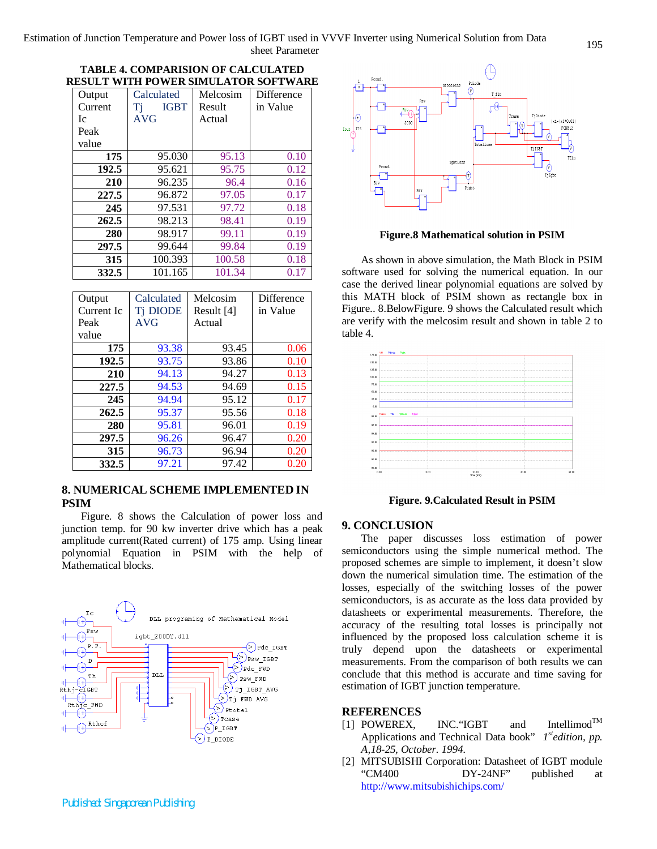Estimation of Junction Temperature and Power loss of IGBT used in VVVF Inverter using Numerical Solution from Data sheet Parameter

| Output  | Calculated        | Melcosim | Difference |
|---------|-------------------|----------|------------|
| Current | <b>IGBT</b><br>Tj | Result   | in Value   |
| Ic.     | AVG               | Actual   |            |
| Peak    |                   |          |            |
| value   |                   |          |            |
| 175     | 95.030            | 95.13    | 0.10       |
| 192.5   | 95.621            | 95.75    | 0.12       |
| 210     | 96.235            | 96.4     | 0.16       |
| 227.5   | 96.872            | 97.05    | 0.17       |
| 245     | 97.531            | 97.72    | 0.18       |
| 262.5   | 98.213            | 98.41    | 0.19       |
| 280     | 98.917            | 99.11    | 0.19       |
| 297.5   | 99.644            | 99.84    | 0.19       |
| 315     | 100.393           | 100.58   | 0.18       |
| 332.5   | 101.165           | 101.34   | 0.17       |

**TABLE 4. COMPARISION OF CALCULATED RESULT WITH POWER SIMULATOR SOFTWARE**

| Output     | Calculated      | Melcosim   | Difference |
|------------|-----------------|------------|------------|
| Current Ic | <b>Ti DIODE</b> | Result [4] | in Value   |
|            |                 |            |            |
| Peak       | AVG             | Actual     |            |
| value      |                 |            |            |
| 175        | 93.38           | 93.45      | 0.06       |
| 192.5      | 93.75           | 93.86      | 0.10       |
| 210        | 94.13           | 94.27      | 0.13       |
| 227.5      | 94.53           | 94.69      | 0.15       |
| 245        | 94.94           | 95.12      | 0.17       |
| 262.5      | 95.37           | 95.56      | 0.18       |
| 280        | 95.81           | 96.01      | 0.19       |
| 297.5      | 96.26           | 96.47      | 0.20       |
| 315        | 96.73           | 96.94      | 0.20       |
| 332.5      | 97.21           | 97.42      | 0.20       |

## **8. NUMERICAL SCHEME IMPLEMENTED IN PSIM**

Figure. 8 shows the Calculation of power loss and junction temp. for 90 kw inverter drive which has a peak amplitude current(Rated current) of 175 amp. Using linear polynomial Equation in PSIM with the help of Mathematical blocks.





#### **Figure.8 Mathematical solution in PSIM**

As shown in above simulation, the Math Block in PSIM software used for solving the numerical equation. In our case the derived linear polynomial equations are solved by this MATH block of PSIM shown as rectangle box in Figure.. 8.BelowFigure. 9 shows the Calculated result which are verify with the melcosim result and shown in table 2 to table 4.



**Figure. 9.Calculated Result in PSIM**

#### **9. CONCLUSION**

The paper discusses loss estimation of power semiconductors using the simple numerical method. The proposed schemes are simple to implement, it doesn't slow down the numerical simulation time. The estimation of the losses, especially of the switching losses of the power semiconductors, is as accurate as the loss data provided by datasheets or experimental measurements. Therefore, the accuracy of the resulting total losses is principally not influenced by the proposed loss calculation scheme it is truly depend upon the datasheets or experimental measurements. From the comparison of both results we can conclude that this method is accurate and time saving for estimation of IGBT junction temperature.

## **REFERENCES**

- [1] POWEREX, INC."IGBT and Intellimod™ Applications and Technical Data book" *1 stedition, pp. A,18-25, October. 1994*.
- [2] MITSUBISHI Corporation: Datasheet of IGBT module "CM400 DY-24NF" published at http://www.mitsubishichips.com/